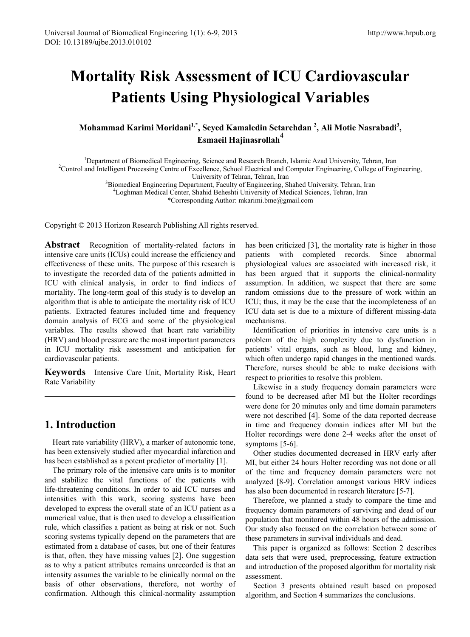# **Mortality Risk Assessment of ICU Cardiovascular Patients Using Physiological Variables**

# **Mohammad Karimi Moridani1,\*, Seyed Kamaledin Setarehdan 2 , Ali Motie Nasrabadi<sup>3</sup> , Esmaeil Hajinasrollah4**

<sup>1</sup>Department of Biomedical Engineering, Science and Research Branch, Islamic Azad University, Tehran, Iran <sup>2</sup>Control and Intelligent Processing Centre of Excellence, School Electrical and Computer Engineering, College of

<sup>2</sup> Control and Intelligent Processing Centre of Excellence, School Electrical and Computer Engineering, College of Engineering, University of Tehran, Tehran, Iran University of Tehran, Tehran, Iran<br><sup>3</sup> Biomedical Engineering Department, Eaculty of Engineering, S

Biomedical Engineering Department, Faculty of Engineering, Shahed University, Tehran, Iran 41 optimal Medical Center, Shahid Beheelti University of Medical Sciences, Tehran, Iran

Loghman Medical Center, Shahid Beheshti University of Medical Sciences, Tehran, Iran

\*Corresponding Author: mkarimi.bme@gmail.com

Copyright © 2013 Horizon Research Publishing All rights reserved.

**Abstract** Recognition of mortality-related factors in intensive care units (ICUs) could increase the efficiency and effectiveness of these units. The purpose of this research is to investigate the recorded data of the patients admitted in ICU with clinical analysis, in order to find indices of mortality. The long-term goal of this study is to develop an algorithm that is able to anticipate the mortality risk of ICU patients. Extracted features included time and frequency domain analysis of ECG and some of the physiological variables. The results showed that heart rate variability (HRV) and blood pressure are the most important parameters in ICU mortality risk assessment and anticipation for cardiovascular patients.

**Keywords** Intensive Care Unit, Mortality Risk, Heart Rate Variability

# **1. Introduction**

Heart rate variability (HRV), a marker of autonomic tone, has been extensively studied after myocardial infarction and has been established as a potent predictor of mortality [1].

The primary role of the intensive care units is to monitor and stabilize the vital functions of the patients with life-threatening conditions. In order to aid ICU nurses and intensities with this work, scoring systems have been developed to express the overall state of an ICU patient as a numerical value, that is then used to develop a classification rule, which classifies a patient as being at risk or not. Such scoring systems typically depend on the parameters that are estimated from a database of cases, but one of their features is that, often, they have missing values [2]. One suggestion as to why a patient attributes remains unrecorded is that an intensity assumes the variable to be clinically normal on the basis of other observations, therefore, not worthy of confirmation. Although this clinical-normality assumption has been criticized [3], the mortality rate is higher in those patients with completed records. Since abnormal physiological values are associated with increased risk, it has been argued that it supports the clinical-normality assumption. In addition, we suspect that there are some random omissions due to the pressure of work within an ICU; thus, it may be the case that the incompleteness of an ICU data set is due to a mixture of different missing-data mechanisms.

Identification of priorities in intensive care units is a problem of the high complexity due to dysfunction in patients' vital organs, such as blood, lung and kidney, which often undergo rapid changes in the mentioned wards. Therefore, nurses should be able to make decisions with respect to priorities to resolve this problem.

Likewise in a study frequency domain parameters were found to be decreased after MI but the Holter recordings were done for 20 minutes only and time domain parameters were not described [4]. Some of the data reported decrease in time and frequency domain indices after MI but the Holter recordings were done 2-4 weeks after the onset of symptoms [5-6].

Other studies documented decreased in HRV early after MI, but either 24 hours Holter recording was not done or all of the time and frequency domain parameters were not analyzed [8-9]. Correlation amongst various HRV indices has also been documented in research literature [5-7].

Therefore, we planned a study to compare the time and frequency domain parameters of surviving and dead of our population that monitored within 48 hours of the admission. Our study also focused on the correlation between some of these parameters in survival individuals and dead.

This paper is organized as follows: Section 2 describes data sets that were used, preprocessing, feature extraction and introduction of the proposed algorithm for mortality risk assessment.

Section 3 presents obtained result based on proposed algorithm, and Section 4 summarizes the conclusions.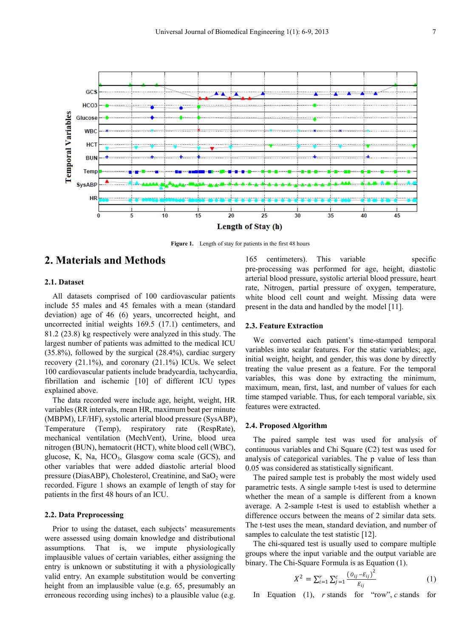

Figure 1. Length of stay for patients in the first 48 hours

# **2. Materials and Methods**

## **2.1. Dataset**

All datasets comprised of 100 cardiovascular patients include 55 males and 45 females with a mean (standard deviation) age of 46 (6) years, uncorrected height, and uncorrected initial weights 169.5 (17.1) centimeters, and 81.2 (23.8) kg respectively were analyzed in this study. The largest number of patients was admitted to the medical ICU (35.8%), followed by the surgical (28.4%), cardiac surgery recovery  $(21.1\%)$ , and coronary  $(21.1\%)$  ICUs. We select 100 cardiovascular patients include bradycardia, tachycardia, fibrillation and ischemic [10] of different ICU types explained above.

The data recorded were include age, height, weight, HR variables (RR intervals, mean HR, maximum beat per minute (MBPM), LF/HF), systolic arterial blood pressure (SysABP), Temperature (Temp), respiratory rate (RespRate), mechanical ventilation (MechVent), Urine, blood urea nitrogen (BUN), hematocrit (HCT), white blood cell (WBC), glucose, K, Na,  $HCO<sub>3</sub>$ , Glasgow coma scale (GCS), and other variables that were added diastolic arterial blood pressure (DiasABP), Cholesterol, Creatinine, and  $SaO<sub>2</sub>$  were recorded. Figure 1 shows an example of length of stay for patients in the first 48 hours of an ICU.

## **2.2. Data Preprocessing**

Prior to using the dataset, each subjects' measurements were assessed using domain knowledge and distributional assumptions. That is, we impute physiologically implausible values of certain variables, either assigning the entry is unknown or substituting it with a physiologically valid entry. An example substitution would be converting height from an implausible value (e.g. 65, presumably an erroneous recording using inches) to a plausible value (e.g.

165 centimeters). This variable specific pre-processing was performed for age, height, diastolic arterial blood pressure, systolic arterial blood pressure, heart rate, Nitrogen, partial pressure of oxygen, temperature, white blood cell count and weight. Missing data were present in the data and handled by the model [11].

#### **2.3. Feature Extraction**

We converted each patient's time-stamped temporal variables into scalar features. For the static variables; age, initial weight, height, and gender, this was done by directly treating the value present as a feature. For the temporal variables, this was done by extracting the minimum, maximum, mean, first, last, and number of values for each time stamped variable. Thus, for each temporal variable, six features were extracted.

## **2.4. Proposed Algorithm**

The paired sample test was used for analysis of continuous variables and Chi Square (C2) test was used for analysis of categorical variables. The p value of less than 0.05 was considered as statistically significant.

The paired sample test is probably the most widely used parametric tests. A single sample t-test is used to determine whether the mean of a sample is different from a known average. A 2-sample t-test is used to establish whether a difference occurs between the means of 2 similar data sets. The t-test uses the mean, standard deviation, and number of samples to calculate the test statistic [12].

The chi-squared test is usually used to compare multiple groups where the input variable and the output variable are binary. The Chi-Square Formula is as Equation (1).

$$
X^{2} = \sum_{i=1}^{r} \sum_{j=1}^{c} \frac{(\mathbf{0}_{ij} - \mathbf{E}_{ij})^{2}}{\mathbf{E}_{ij}}
$$
(1)

In Equation (1), *r* stands for "row", *c* stands for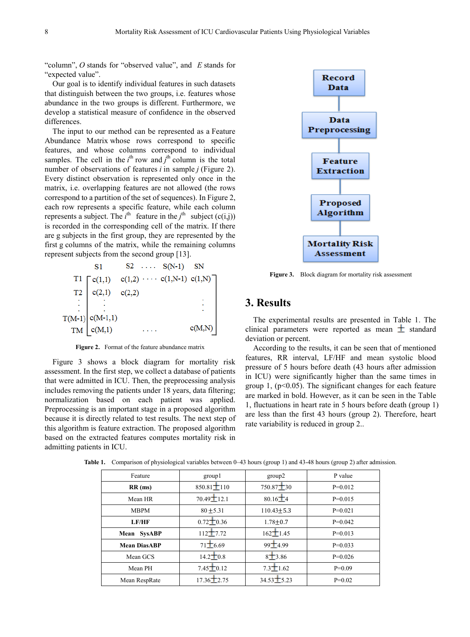"column", *O* stands for "observed value", and *E* stands for "expected value".

Our goal is to identify individual features in such datasets that distinguish between the two groups, i.e. features whose abundance in the two groups is different. Furthermore, we develop a statistical measure of confidence in the observed differences.

The input to our method can be represented as a Feature Abundance Matrix whose rows correspond to specific features, and whose columns correspond to individual samples. The cell in the  $i<sup>th</sup>$  row and  $j<sup>th</sup>$  column is the total number of observations of features *i* in sample *j* (Figure 2). Every distinct observation is represented only once in the matrix, i.e. overlapping features are not allowed (the rows correspond to a partition of the set of sequences). In Figure 2, each row represents a specific feature, while each column represents a subject. The  $i^{\text{th}}$  feature in the  $j^{\text{th}}$  subject (c(i,j)) is recorded in the corresponding cell of the matrix. If there are g subjects in the first group, they are represented by the first g columns of the matrix, while the remaining columns represent subjects from the second group [13].



**Figure 2.** Format of the feature abundance matrix

Figure 3 shows a block diagram for mortality risk assessment. In the first step, we collect a database of patients that were admitted in ICU. Then, the preprocessing analysis includes removing the patients under 18 years, data filtering; normalization based on each patient was applied. Preprocessing is an important stage in a proposed algorithm because it is directly related to test results. The next step of this algorithm is feature extraction. The proposed algorithm based on the extracted features computes mortality risk in admitting patients in ICU.



Figure 3. Block diagram for mortality risk assessment

## **3. Results**

The experimental results are presented in Table 1. The clinical parameters were reported as mean  $\pm$  standard deviation or percent.

According to the results, it can be seen that of mentioned features, RR interval, LF/HF and mean systolic blood pressure of 5 hours before death (43 hours after admission in ICU) were significantly higher than the same times in group 1,  $(p<0.05)$ . The significant changes for each feature are marked in bold. However, as it can be seen in the Table 1, fluctuations in heart rate in 5 hours before death (group 1) are less than the first 43 hours (group 2). Therefore, heart rate variability is reduced in group 2..

| Feature             | group l          | group2           | P value   |
|---------------------|------------------|------------------|-----------|
| $RR$ (ms)           | $850.81 \pm 110$ | $750.87 \pm 30$  | $P=0.012$ |
| Mean HR             | $70.49 \pm 12.1$ | $80.16 + 4$      | $P=0.015$ |
| <b>MBPM</b>         | $80 + 5.31$      | $110.43 \pm 5.3$ | $P=0.021$ |
| LF/HF               | $0.72 \pm 0.36$  | $1.78 + 0.7$     | $P=0.042$ |
| Mean SysABP         | $112 + 7.72$     | $162 \pm 1.45$   | $P=0.013$ |
| <b>Mean DiasABP</b> | $71\pm 6.69$     | $99 + 4.99$      | $P=0.033$ |
| Mean GCS            | $14.2 \pm 0.8$   | $8 + 3.86$       | $P=0.026$ |
| Mean PH             | $7.45 \pm 0.12$  | $7.3 \pm 1.62$   | $P=0.09$  |
| Mean RespRate       | $17.36 \pm 2.75$ | 34.53 5.23       | $P=0.02$  |

**Table 1.** Comparison of physiological variables between 0–43 hours (group 1) and 43-48 hours (group 2) after admission.